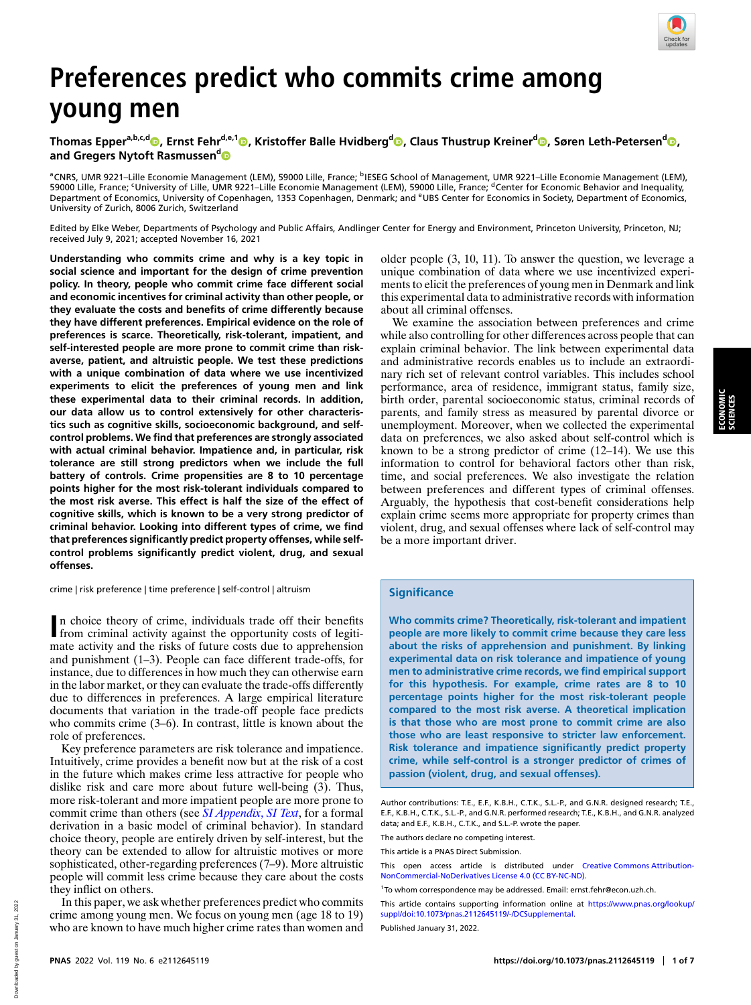

# **Preferences predict who commits crime among young men**

**Thomas Eppera,b,c,[d](http://orcid.org/0000-0002-0826-4997) , Ernst Fehrd,e,1 [,](http://orcid.org/0000-0001-6325-7821) Kristoffer Balle Hvidbergd [,](http://orcid.org/0000-0003-4224-3994) Claus Thustrup Kreiner[d](http://orcid.org/0000-0001-6421-492X) , Søren Leth-Petersen[d](http://orcid.org/0000-0002-5585-3102) , and Gregers Nytoft Rasmussen[d](http://orcid.org/0000-0003-4690-3814)**

<sup>a</sup>CNRS, UMR 9221–Lille Economie Management (LEM), 59000 Lille, France; <sup>b</sup>IESEG School of Management, UMR 9221–Lille Economie Management (LEM),<br>59000 Lille, France; <sup>c</sup>University of Lille, UMR 9221–Lille Economie Manageme Department of Economics, University of Copenhagen, 1353 Copenhagen, Denmark; and <sup>e</sup>UBS Center for Economics in Society, Department of Economics, University of Zurich, 8006 Zurich, Switzerland

Edited by Elke Weber, Departments of Psychology and Public Affairs, Andlinger Center for Energy and Environment, Princeton University, Princeton, NJ; received July 9, 2021; accepted November 16, 2021

**Understanding who commits crime and why is a key topic in social science and important for the design of crime prevention policy. In theory, people who commit crime face different social and economic incentives for criminal activity than other people, or they evaluate the costs and benefits of crime differently because they have different preferences. Empirical evidence on the role of preferences is scarce. Theoretically, risk-tolerant, impatient, and self-interested people are more prone to commit crime than riskaverse, patient, and altruistic people. We test these predictions with a unique combination of data where we use incentivized experiments to elicit the preferences of young men and link these experimental data to their criminal records. In addition, our data allow us to control extensively for other characteristics such as cognitive skills, socioeconomic background, and selfcontrol problems. We find that preferences are strongly associated with actual criminal behavior. Impatience and, in particular, risk tolerance are still strong predictors when we include the full battery of controls. Crime propensities are 8 to 10 percentage points higher for the most risk-tolerant individuals compared to the most risk averse. This effect is half the size of the effect of cognitive skills, which is known to be a very strong predictor of criminal behavior. Looking into different types of crime, we find that preferences significantly predict property offenses, while selfcontrol problems significantly predict violent, drug, and sexual offenses.**

crime | risk preference | time preference | self-control | altruism

In choice theory of crime, individuals trade off their benefits from criminal activity against the opportunity costs of legitin choice theory of crime, individuals trade off their benefits mate activity and the risks of future costs due to apprehension and punishment (1–3). People can face different trade-offs, for instance, due to differences in how much they can otherwise earn in the labor market, or they can evaluate the trade-offs differently due to differences in preferences. A large empirical literature documents that variation in the trade-off people face predicts who commits crime  $(3-6)$ . In contrast, little is known about the role of preferences.

Key preference parameters are risk tolerance and impatience. Intuitively, crime provides a benefit now but at the risk of a cost in the future which makes crime less attractive for people who dislike risk and care more about future well-being  $(3)$ . Thus, more risk-tolerant and more impatient people are more prone to commit crime than others (see *[SI Appendix](https://www.pnas.org/lookup/suppl/doi:10.1073/pnas.2112645119/-/DCSupplemental)*[,](https://www.pnas.org/lookup/suppl/doi:10.1073/pnas.2112645119/-/DCSupplemental) *[SI Text](https://www.pnas.org/lookup/suppl/doi:10.1073/pnas.2112645119/-/DCSupplemental)*, for a formal derivation in a basic model of criminal behavior). In standard choice theory, people are entirely driven by self-interest, but the theory can be extended to allow for altruistic motives or more sophisticated, other-regarding preferences (7–9). More altruistic people will commit less crime because they care about the costs they inflict on others.

In this paper, we ask whether preferences predict who commits crime among young men. We focus on young men (age 18 to 19) who are known to have much higher crime rates than women and older people (3, 10, 11). To answer the question, we leverage a unique combination of data where we use incentivized experiments to elicit the preferences of young men in Denmark and link this experimental data to administrative records with information about all criminal offenses.

We examine the association between preferences and crime while also controlling for other differences across people that can explain criminal behavior. The link between experimental data and administrative records enables us to include an extraordinary rich set of relevant control variables. This includes school performance, area of residence, immigrant status, family size, birth order, parental socioeconomic status, criminal records of parents, and family stress as measured by parental divorce or unemployment. Moreover, when we collected the experimental data on preferences, we also asked about self-control which is known to be a strong predictor of crime (12–14). We use this information to control for behavioral factors other than risk, time, and social preferences. We also investigate the relation between preferences and different types of criminal offenses. Arguably, the hypothesis that cost-benefit considerations help explain crime seems more appropriate for property crimes than violent, drug, and sexual offenses where lack of self-control may be a more important driver.

### **Significance**

**Who commits crime? Theoretically, risk-tolerant and impatient people are more likely to commit crime because they care less about the risks of apprehension and punishment. By linking experimental data on risk tolerance and impatience of young men to administrative crime records, we find empirical support for this hypothesis. For example, crime rates are 8 to 10 percentage points higher for the most risk-tolerant people compared to the most risk averse. A theoretical implication is that those who are most prone to commit crime are also those who are least responsive to stricter law enforcement. Risk tolerance and impatience significantly predict property crime, while self-control is a stronger predictor of crimes of passion (violent, drug, and sexual offenses).**

The authors declare no competing interest.

This article is a PNAS Direct Submission.

This open access article is distributed under [Creative Commons Attribution-](https://creativecommons.org/licenses/by-nc-nd/4.0/)[NonCommercial-NoDerivatives License 4.0 \(CC BY-NC-ND\).](https://creativecommons.org/licenses/by-nc-nd/4.0/)

This article contains supporting information online at [https://www.pnas.org/lookup/](https://www.pnas.org/lookup/suppl/doi:10.1073/pnas.2112645119/-/DCSupplemental) [suppl/doi:10.1073/pnas.2112645119/-/DCSupplemental.](https://www.pnas.org/lookup/suppl/doi:10.1073/pnas.2112645119/-/DCSupplemental)

Published January 31, 2022.

Author contributions: T.E., E.F., K.B.H., C.T.K., S.L.-P., and G.N.R. designed research; T.E., E.F., K.B.H., C.T.K., S.L.-P., and G.N.R. performed research; T.E., K.B.H., and G.N.R. analyzed data; and E.F., K.B.H., C.T.K., and S.L.-P. wrote the paper.

<sup>1</sup>To whom correspondence may be addressed. Email: [ernst.fehr@econ.uzh.ch.](mailto:ernst.fehr@econ.uzh.ch)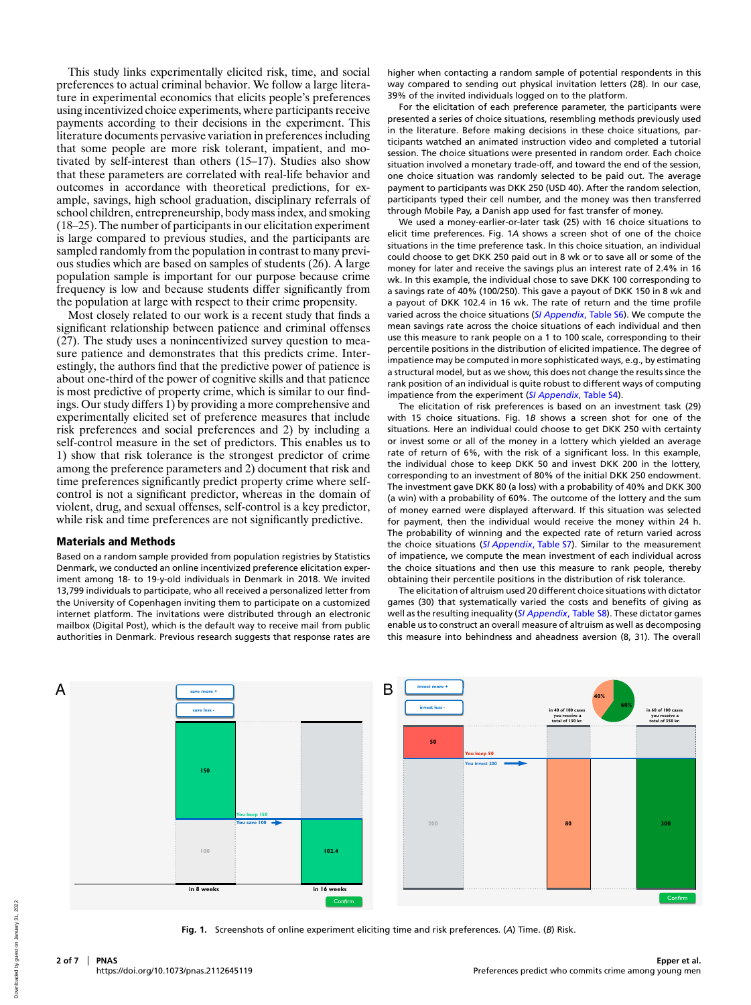This study links experimentally elicited risk, time, and social preferences to actual criminal behavior. We follow a large literature in experimental economics that elicits people's preferences using incentivized choice experiments, where participants receive payments according to their decisions in the experiment. This literature documents pervasive variation in preferences including that some people are more risk tolerant, impatient, and motivated by self-interest than others (15–17). Studies also show that these parameters are correlated with real-life behavior and outcomes in accordance with theoretical predictions, for example, savings, high school graduation, disciplinary referrals of school children, entrepreneurship, body mass index, and smoking (18–25). The number of participants in our elicitation experiment is large compared to previous studies, and the participants are sampled randomly from the population in contrast to many previous studies which are based on samples of students (26). A large population sample is important for our purpose because crime frequency is low and because students differ significantly from the population at large with respect to their crime propensity.

Most closely related to our work is a recent study that finds a significant relationship between patience and criminal offenses (27). The study uses a nonincentivized survey question to measure patience and demonstrates that this predicts crime. Interestingly, the authors find that the predictive power of patience is about one-third of the power of cognitive skills and that patience is most predictive of property crime, which is similar to our findings. Our study differs 1) by providing a more comprehensive and experimentally elicited set of preference measures that include risk preferences and social preferences and 2) by including a self-control measure in the set of predictors. This enables us to 1) show that risk tolerance is the strongest predictor of crime among the preference parameters and 2) document that risk and time preferences significantly predict property crime where selfcontrol is not a significant predictor, whereas in the domain of violent, drug, and sexual offenses, self-control is a key predictor, while risk and time preferences are not significantly predictive.

#### Materials and Methods

Based on a random sample provided from population registries by Statistics Denmark, we conducted an online incentivized preference elicitation experiment among 18- to 19-y-old individuals in Denmark in 2018. We invited 13,799 individuals to participate, who all received a personalized letter from the University of Copenhagen inviting them to participate on a customized internet platform. The invitations were distributed through an electronic mailbox (Digital Post), which is the default way to receive mail from public authorities in Denmark. Previous research suggests that response rates are

higher when contacting a random sample of potential respondents in this way compared to sending out physical invitation letters (28). In our case, 39% of the invited individuals logged on to the platform.

For the elicitation of each preference parameter, the participants were presented a series of choice situations, resembling methods previously used in the literature. Before making decisions in these choice situations, participants watched an animated instruction video and completed a tutorial session. The choice situations were presented in random order. Each choice situation involved a monetary trade-off, and toward the end of the session, one choice situation was randomly selected to be paid out. The average payment to participants was DKK 250 (USD 40). After the random selection, participants typed their cell number, and the money was then transferred through Mobile Pay, a Danish app used for fast transfer of money.

We used a money-earlier-or-later task (25) with 16 choice situations to elicit time preferences. Fig. 1*A* shows a screen shot of one of the choice situations in the time preference task. In this choice situation, an individual could choose to get DKK 250 paid out in 8 wk or to save all or some of the money for later and receive the savings plus an interest rate of 2.4% in 16 wk. In this example, the individual chose to save DKK 100 corresponding to a savings rate of 40% (100/250). This gave a payout of DKK 150 in 8 wk and a payout of DKK 102.4 in 16 wk. The rate of return and the time profile varied across the choice situations (*[SI Appendix](https://www.pnas.org/lookup/suppl/doi:10.1073/pnas.2112645119/-/DCSupplemental)*[, Table S6\)](https://www.pnas.org/lookup/suppl/doi:10.1073/pnas.2112645119/-/DCSupplemental). We compute the mean savings rate across the choice situations of each individual and then use this measure to rank people on a 1 to 100 scale, corresponding to their percentile positions in the distribution of elicited impatience. The degree of impatience may be computed in more sophisticated ways, e.g., by estimating a structural model, but as we show, this does not change the results since the rank position of an individual is quite robust to different ways of computing impatience from the experiment (*[SI Appendix](https://www.pnas.org/lookup/suppl/doi:10.1073/pnas.2112645119/-/DCSupplemental)*[, Table S4\)](https://www.pnas.org/lookup/suppl/doi:10.1073/pnas.2112645119/-/DCSupplemental).

The elicitation of risk preferences is based on an investment task (29) with 15 choice situations. Fig. 1*B* shows a screen shot for one of the situations. Here an individual could choose to get DKK 250 with certainty or invest some or all of the money in a lottery which yielded an average rate of return of 6%, with the risk of a significant loss. In this example, the individual chose to keep DKK 50 and invest DKK 200 in the lottery, corresponding to an investment of 80% of the initial DKK 250 endowment. The investment gave DKK 80 (a loss) with a probability of 40% and DKK 300 (a win) with a probability of 60%. The outcome of the lottery and the sum of money earned were displayed afterward. If this situation was selected for payment, then the individual would receive the money within 24 h. The probability of winning and the expected rate of return varied across the choice situations (*[SI Appendix](https://www.pnas.org/lookup/suppl/doi:10.1073/pnas.2112645119/-/DCSupplemental)*[, Table S7\)](https://www.pnas.org/lookup/suppl/doi:10.1073/pnas.2112645119/-/DCSupplemental). Similar to the measurement of impatience, we compute the mean investment of each individual across the choice situations and then use this measure to rank people, thereby obtaining their percentile positions in the distribution of risk tolerance.

The elicitation of altruism used 20 different choice situations with dictator games (30) that systematically varied the costs and benefits of giving as well as the resulting inequality (*[SI Appendix](https://www.pnas.org/lookup/suppl/doi:10.1073/pnas.2112645119/-/DCSupplemental)*[, Table S8\)](https://www.pnas.org/lookup/suppl/doi:10.1073/pnas.2112645119/-/DCSupplemental). These dictator games enable us to construct an overall measure of altruism as well as decomposing this measure into behindness and aheadness aversion (8, 31). The overall



**Fig. 1.** Screenshots of online experiment eliciting time and risk preferences. (*A*) Time. (*B*) Risk.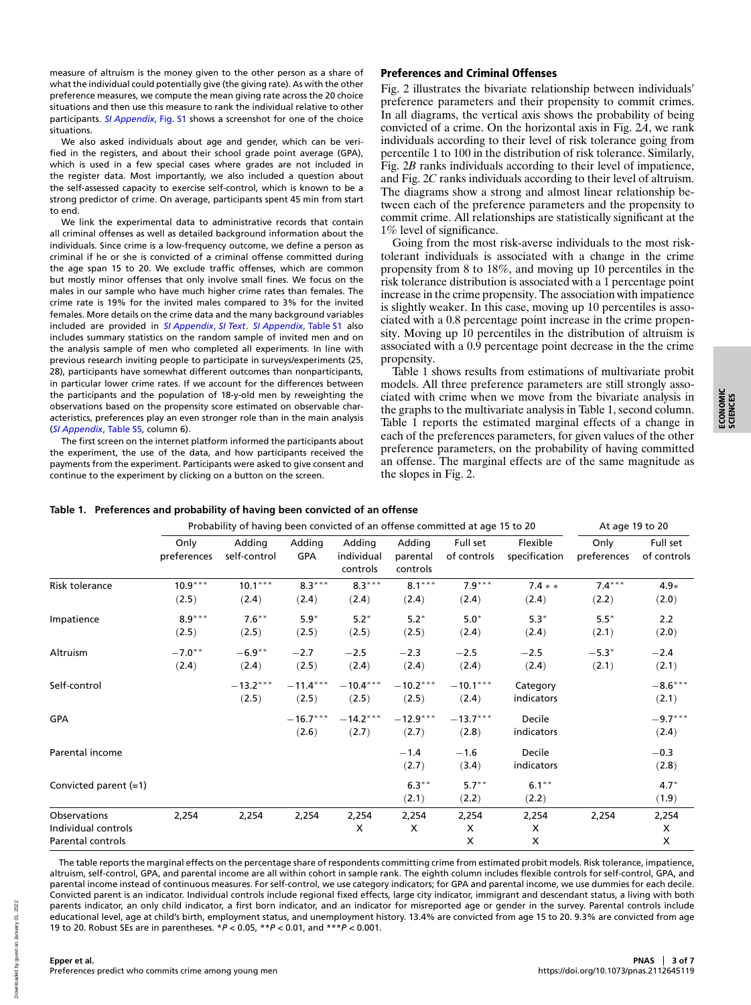**Epper et al.** Preferences predict who commits crime among young men

Downloaded by guest on January 31, 2022

Downloaded by guest on January 31.

2022

measure of altruism is the money given to the other person as a share of what the individual could potentially give (the giving rate). As with the other preference measures, we compute the mean giving rate across the 20 choice situations and then use this measure to rank the individual relative to other participants. *[SI Appendix](https://www.pnas.org/lookup/suppl/doi:10.1073/pnas.2112645119/-/DCSupplemental)*[, Fig. S1](https://www.pnas.org/lookup/suppl/doi:10.1073/pnas.2112645119/-/DCSupplemental) shows a screenshot for one of the choice situations.

We also asked individuals about age and gender, which can be verified in the registers, and about their school grade point average (GPA), which is used in a few special cases where grades are not included in the register data. Most importantly, we also included a question about the self-assessed capacity to exercise self-control, which is known to be a strong predictor of crime. On average, participants spent 45 min from start to end.

We link the experimental data to administrative records that contain all criminal offenses as well as detailed background information about the individuals. Since crime is a low-frequency outcome, we define a person as criminal if he or she is convicted of a criminal offense committed during the age span 15 to 20. We exclude traffic offenses, which are common but mostly minor offenses that only involve small fines. We focus on the males in our sample who have much higher crime rates than females. The crime rate is 19% for the invited males compared to 3% for the invited females. More details on the crime data and the many background variables included are provided in *[SI Appendix](https://www.pnas.org/lookup/suppl/doi:10.1073/pnas.2112645119/-/DCSupplemental)*[,](https://www.pnas.org/lookup/suppl/doi:10.1073/pnas.2112645119/-/DCSupplemental) *[SI Text](https://www.pnas.org/lookup/suppl/doi:10.1073/pnas.2112645119/-/DCSupplemental)*. *[SI Appendix](https://www.pnas.org/lookup/suppl/doi:10.1073/pnas.2112645119/-/DCSupplemental)*[, Table S1](https://www.pnas.org/lookup/suppl/doi:10.1073/pnas.2112645119/-/DCSupplemental) also includes summary statistics on the random sample of invited men and on the analysis sample of men who completed all experiments. In line with previous research inviting people to participate in surveys/experiments (25, 28), participants have somewhat different outcomes than nonparticipants, in particular lower crime rates. If we account for the differences between the participants and the population of 18-y-old men by reweighting the observations based on the propensity score estimated on observable characteristics, preferences play an even stronger role than in the main analysis (*[SI Appendix](https://www.pnas.org/lookup/suppl/doi:10.1073/pnas.2112645119/-/DCSupplemental)*[, Table S5,](https://www.pnas.org/lookup/suppl/doi:10.1073/pnas.2112645119/-/DCSupplemental) column 6).

The first screen on the inte the experiment, th payments from the continue to the exp

## Preferences and Criminal Offenses

Fig. 2 illustrates the bivariate relationship between individuals' preference parameters and their propensity to commit crimes. In all diagrams, the vertical axis shows the probability of being convicted of a crime. On the horizontal axis in Fig. 2*A*, we rank individuals according to their level of risk tolerance going from percentile 1 to 100 in the distribution of risk tolerance. Similarly, Fig. 2*B* ranks individuals according to their level of impatience, and Fig. 2*C* ranks individuals according to their level of altruism. The diagrams show a strong and almost linear relationship between each of the preference parameters and the propensity to commit crime. All relationships are statistically significant at the 1% level of significance.

Going from the most risk-averse individuals to the most risktolerant individuals is associated with a change in the crime propensity from 8 to 18%, and moving up 10 percentiles in the risk tolerance distribution is associated with a 1 percentage point increase in the crime propensity. The association with impatience is slightly weaker. In this case, moving up 10 percentiles is associated with a 0.8 percentage point increase in the crime propensity. Moving up 10 percentiles in the distribution of altruism is associated with a 0.9 percentage point decrease in the the crime propensity.

Table 1 shows results from estimations of multivariate probit models. All three preference parameters are still strongly associated with crime when we move from the bivariate analysis in the graphs to the multivariate analysis in Table 1, second column. Table 1 reports the estimated marginal effects of a change in each of the preferences parameters, for given values of the other

 $(2.1)$   $(2.2)$   $(2.2)$   $(1.9)$ 

| The first screen on the internet platform informed the participants about<br>the experiment, the use of the data, and how participants received the<br>payments from the experiment. Participants were asked to give consent and<br>continue to the experiment by clicking on a button on the screen.<br>Table 1. Preferences and probability of having been convicted of an offense |                     | Probability of having been convicted of an offense committed at age 15 to 20 |                      |                                  | the slopes in Fig. 2.          |                         | preference parameters, on the probability of having committed<br>an offense. The marginal effects are of the same magnitude as | At age 19 to 20     |                         |
|--------------------------------------------------------------------------------------------------------------------------------------------------------------------------------------------------------------------------------------------------------------------------------------------------------------------------------------------------------------------------------------|---------------------|------------------------------------------------------------------------------|----------------------|----------------------------------|--------------------------------|-------------------------|--------------------------------------------------------------------------------------------------------------------------------|---------------------|-------------------------|
|                                                                                                                                                                                                                                                                                                                                                                                      | Only<br>preferences | Adding<br>self-control                                                       | Adding<br><b>GPA</b> | Adding<br>individual<br>controls | Adding<br>parental<br>controls | Full set<br>of controls | Flexible<br>specification                                                                                                      | Only<br>preferences | Full set<br>of controls |
| Risk tolerance                                                                                                                                                                                                                                                                                                                                                                       | $10.9***$<br>(2.5)  | $10.1***$<br>(2.4)                                                           | $8.3***$<br>(2.4)    | $8.3***$<br>(2.4)                | $8.1***$<br>(2.4)              | $7.9***$<br>(2.4)       | $7.4**$<br>(2.4)                                                                                                               | $7.4***$<br>(2.2)   | $4.9*$<br>(2.0)         |
| Impatience                                                                                                                                                                                                                                                                                                                                                                           | $8.9***$<br>(2.5)   | $7.6***$<br>(2.5)                                                            | $5.9*$<br>(2.5)      | $5.2*$<br>(2.5)                  | $5.2*$<br>(2.5)                | $5.0*$<br>(2.4)         | $5.3*$<br>(2.4)                                                                                                                | $5.5*$<br>(2.1)     | 2.2<br>(2.0)            |
| Altruism                                                                                                                                                                                                                                                                                                                                                                             | $-7.0**$<br>(2.4)   | $-6.9***$<br>(2.4)                                                           | $-2.7$<br>(2.5)      | $-2.5$<br>(2.4)                  | $-2.3$<br>(2.4)                | $-2.5$<br>(2.4)         | $-2.5$<br>(2.4)                                                                                                                | $-5.3*$<br>(2.1)    | $-2.4$<br>(2.1)         |
| Self-control                                                                                                                                                                                                                                                                                                                                                                         |                     | $-13.2***$<br>(2.5)                                                          | $-11.4***$<br>(2.5)  | $-10.4***$<br>(2.5)              | $-10.2***$<br>(2.5)            | $-10.1***$<br>(2.4)     | Category<br>indicators                                                                                                         |                     | $-8.6***$<br>(2.1)      |
| GPA                                                                                                                                                                                                                                                                                                                                                                                  |                     |                                                                              | $-16.7***$<br>(2.6)  | $-14.2***$<br>(2.7)              | $-12.9***$<br>(2.7)            | $-13.7***$<br>(2.8)     | Decile<br>indicators                                                                                                           |                     | $-9.7***$<br>(2.4)      |
| Parental income                                                                                                                                                                                                                                                                                                                                                                      |                     |                                                                              |                      |                                  | $-1.4$<br>(2.7)                | $-1.6$<br>(3.4)         | Decile<br>indicators                                                                                                           |                     | $-0.3$<br>(2.8)         |
| Convicted parent (=1)                                                                                                                                                                                                                                                                                                                                                                |                     |                                                                              |                      |                                  | $6.3***$                       | $5.7***$                | $6.1***$                                                                                                                       |                     | $4.7*$                  |

# **Table 1. Preferent**

The table reports the marginal effects on the percentage share of respondents committing crime from estimated probit models. Risk tolerance, impatience, altruism, self-control, GPA, and parental income are all within cohort in sample rank. The eighth column includes flexible controls for self-control, GPA, and parental income instead of continuous measures. For self-control, we use category indicators; for GPA and parental income, we use dummies for each decile. Convicted parent is an indicator. Individual controls include regional fixed effects, large city indicator, immigrant and descendant status, a living with both parents indicator, an only child indicator, a first born indicator, and an indicator for misreported age or gender in the survey. Parental controls include educational level, age at child's birth, employment status, and unemployment history. 13.4% are convicted from age 15 to 20. 9.3% are convicted from age 19 to 20. Robust SEs are in parentheses. \**P* < 0.05, \*\**P* < 0.01, and \*\*\**P* < 0.001.

Observations 2,254 2,254 2,254 2,254 2,254 2,254 2,254 2,254 2,254 Individual controls X X X X X Parental controls X X X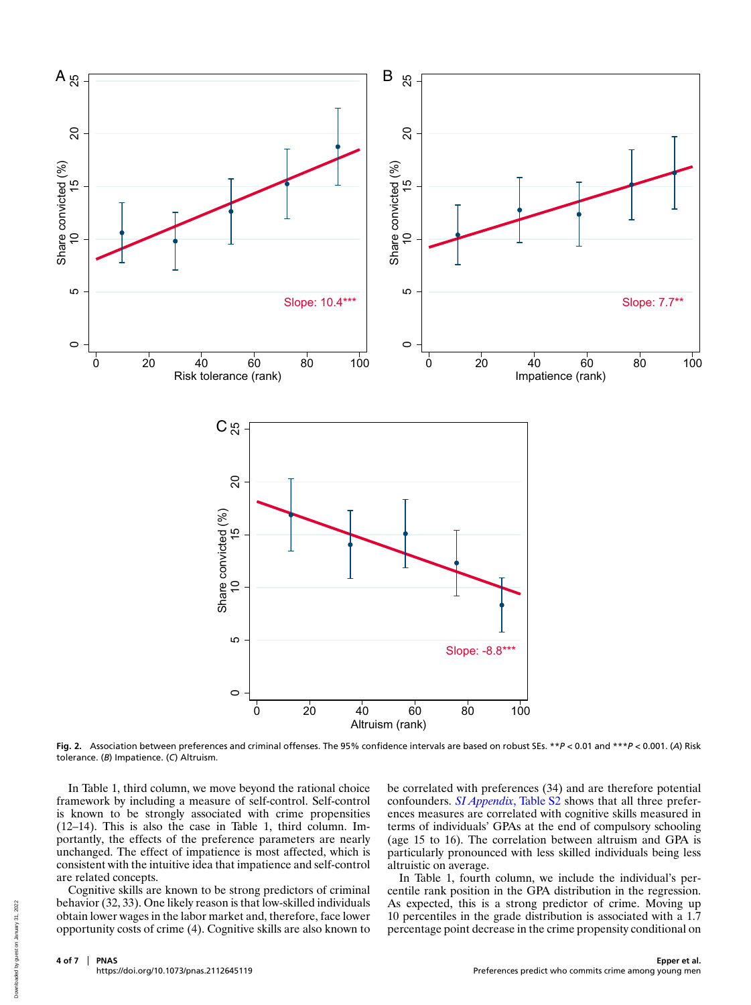

**Fig. 2.** Association between preferences and criminal offenses. The 95% confidence intervals are based on robust SEs. \*\**P* < 0.01 and \*\*\**P* < 0.001. (*A*) Risk tolerance. (*B*) Impatience. (*C*) Altruism.

In Table 1, third column, we move beyond the rational choice framework by including a measure of self-control. Self-control is known to be strongly associated with crime propensities (12–14). This is also the case in Table 1, third column. Importantly, the effects of the preference parameters are nearly unchanged. The effect of impatience is most affected, which is consistent with the intuitive idea that impatience and self-control are related concepts.

Cognitive skills are known to be strong predictors of criminal behavior (32, 33). One likely reason is that low-skilled individuals obtain lower wages in the labor market and, therefore, face lower opportunity costs of crime (4). Cognitive skills are also known to

be correlated with preferences (34) and are therefore potential confounders. *[SI Appendix](https://www.pnas.org/lookup/suppl/doi:10.1073/pnas.2112645119/-/DCSupplemental)*[, Table S2](https://www.pnas.org/lookup/suppl/doi:10.1073/pnas.2112645119/-/DCSupplemental) shows that all three preferences measures are correlated with cognitive skills measured in terms of individuals' GPAs at the end of compulsory schooling (age 15 to 16). The correlation between altruism and GPA is particularly pronounced with less skilled individuals being less altruistic on average.

In Table 1, fourth column, we include the individual's percentile rank position in the GPA distribution in the regression. As expected, this is a strong predictor of crime. Moving up 10 percentiles in the grade distribution is associated with a 1.7 percentage point decrease in the crime propensity conditional on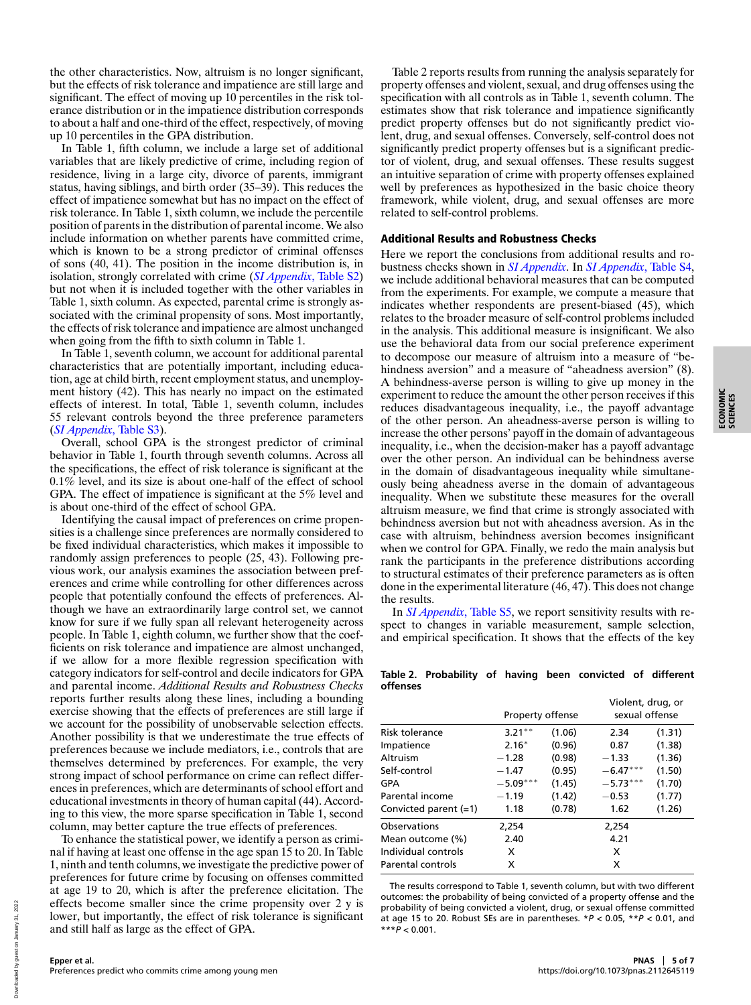the other characteristics. Now, altruism is no longer significant, but the effects of risk tolerance and impatience are still large and significant. The effect of moving up 10 percentiles in the risk tolerance distribution or in the impatience distribution corresponds to about a half and one-third of the effect, respectively, of moving up 10 percentiles in the GPA distribution.

In Table 1, fifth column, we include a large set of additional variables that are likely predictive of crime, including region of residence, living in a large city, divorce of parents, immigrant status, having siblings, and birth order (35–39). This reduces the effect of impatience somewhat but has no impact on the effect of risk tolerance. In Table 1, sixth column, we include the percentile position of parents in the distribution of parental income. We also include information on whether parents have committed crime, which is known to be a strong predictor of criminal offenses of sons (40, 41). The position in the income distribution is, in isolation, strongly correlated with crime (*[SI Appendix](https://www.pnas.org/lookup/suppl/doi:10.1073/pnas.2112645119/-/DCSupplemental)*[, Table S2\)](https://www.pnas.org/lookup/suppl/doi:10.1073/pnas.2112645119/-/DCSupplemental) but not when it is included together with the other variables in Table 1, sixth column. As expected, parental crime is strongly associated with the criminal propensity of sons. Most importantly, the effects of risk tolerance and impatience are almost unchanged when going from the fifth to sixth column in Table 1.

In Table 1, seventh column, we account for additional parental characteristics that are potentially important, including education, age at child birth, recent employment status, and unemployment history (42). This has nearly no impact on the estimated effects of interest. In total, Table 1, seventh column, includes 55 relevant controls beyond the three preference parameters (*[SI Appendix](https://www.pnas.org/lookup/suppl/doi:10.1073/pnas.2112645119/-/DCSupplemental)*[, Table S3\)](https://www.pnas.org/lookup/suppl/doi:10.1073/pnas.2112645119/-/DCSupplemental).

Overall, school GPA is the strongest predictor of criminal behavior in Table 1, fourth through seventh columns. Across all the specifications, the effect of risk tolerance is significant at the 0.1% level, and its size is about one-half of the effect of school GPA. The effect of impatience is significant at the 5% level and is about one-third of the effect of school GPA.

Identifying the causal impact of preferences on crime propensities is a challenge since preferences are normally considered to be fixed individual characteristics, which makes it impossible to randomly assign preferences to people (25, 43). Following previous work, our analysis examines the association between preferences and crime while controlling for other differences across people that potentially confound the effects of preferences. Although we have an extraordinarily large control set, we cannot know for sure if we fully span all relevant heterogeneity across people. In Table 1, eighth column, we further show that the coefficients on risk tolerance and impatience are almost unchanged, if we allow for a more flexible regression specification with category indicators for self-control and decile indicators for GPA and parental income. *Additional Results and Robustness Checks* reports further results along these lines, including a bounding exercise showing that the effects of preferences are still large if we account for the possibility of unobservable selection effects. Another possibility is that we underestimate the true effects of preferences because we include mediators, i.e., controls that are themselves determined by preferences. For example, the very strong impact of school performance on crime can reflect differences in preferences, which are determinants of school effort and educational investments in theory of human capital (44). According to this view, the more sparse specification in Table 1, second column, may better capture the true effects of preferences.

To enhance the statistical power, we identify a person as criminal if having at least one offense in the age span 15 to 20. In Table 1, ninth and tenth columns, we investigate the predictive power of preferences for future crime by focusing on offenses committed at age 19 to 20, which is after the preference elicitation. The effects become smaller since the crime propensity over 2 y is lower, but importantly, the effect of risk tolerance is significant and still half as large as the effect of GPA.

Table 2 reports results from running the analysis separately for property offenses and violent, sexual, and drug offenses using the specification with all controls as in Table 1, seventh column. The estimates show that risk tolerance and impatience significantly predict property offenses but do not significantly predict violent, drug, and sexual offenses. Conversely, self-control does not significantly predict property offenses but is a significant predictor of violent, drug, and sexual offenses. These results suggest an intuitive separation of crime with property offenses explained well by preferences as hypothesized in the basic choice theory framework, while violent, drug, and sexual offenses are more related to self-control problems.

### Additional Results and Robustness Checks

Here we report the conclusions from additional results and robustness checks shown in *[SI Appendix](https://www.pnas.org/lookup/suppl/doi:10.1073/pnas.2112645119/-/DCSupplemental)*. In *[SI Appendix](https://www.pnas.org/lookup/suppl/doi:10.1073/pnas.2112645119/-/DCSupplemental)*[, Table S4,](https://www.pnas.org/lookup/suppl/doi:10.1073/pnas.2112645119/-/DCSupplemental) we include additional behavioral measures that can be computed from the experiments. For example, we compute a measure that indicates whether respondents are present-biased (45), which relates to the broader measure of self-control problems included in the analysis. This additional measure is insignificant. We also use the behavioral data from our social preference experiment to decompose our measure of altruism into a measure of "behindness aversion" and a measure of "aheadness aversion" (8). A behindness-averse person is willing to give up money in the experiment to reduce the amount the other person receives if this reduces disadvantageous inequality, i.e., the payoff advantage of the other person. An aheadness-averse person is willing to increase the other persons' payoff in the domain of advantageous inequality, i.e., when the decision-maker has a payoff advantage over the other person. An individual can be behindness averse in the domain of disadvantageous inequality while simultaneously being aheadness averse in the domain of advantageous inequality. When we substitute these measures for the overall altruism measure, we find that crime is strongly associated with behindness aversion but not with aheadness aversion. As in the case with altruism, behindness aversion becomes insignificant when we control for GPA. Finally, we redo the main analysis but rank the participants in the preference distributions according to structural estimates of their preference parameters as is often done in the experimental literature (46, 47). This does not change the results.

In *[SI Appendix](https://www.pnas.org/lookup/suppl/doi:10.1073/pnas.2112645119/-/DCSupplemental)*[, Table S5,](https://www.pnas.org/lookup/suppl/doi:10.1073/pnas.2112645119/-/DCSupplemental) we report sensitivity results with respect to changes in variable measurement, sample selection, and empirical specification. It shows that the effects of the key

**Table 2. Probability of having been convicted of different offenses**

|                         | Property offense |        | Violent, drug, or<br>sexual offense |        |  |
|-------------------------|------------------|--------|-------------------------------------|--------|--|
| Risk tolerance          | $3.21***$        | (1.06) | 2.34                                | (1.31) |  |
| Impatience              | $2.16*$          | (0.96) | 0.87                                | (1.38) |  |
| Altruism                | $-1.28$          | (0.98) | $-1.33$                             | (1.36) |  |
| Self-control            | $-1.47$          | (0.95) | $-6.47***$                          | (1.50) |  |
| GPA                     | $-5.09***$       | (1.45) | $-5.73***$                          | (1.70) |  |
| Parental income         | $-1.19$          | (1.42) | $-0.53$                             | (1.77) |  |
| Convicted parent $(=1)$ | 1.18             | (0.78) | 1.62                                | (1.26) |  |
| Observations            | 2,254            |        | 2,254                               |        |  |
| Mean outcome (%)        | 2.40             | 4.21   |                                     |        |  |
| Individual controls     | x                | x      |                                     |        |  |
| Parental controls       | x                |        |                                     |        |  |

The results correspond to Table 1, seventh column, but with two different outcomes: the probability of being convicted of a property offense and the probability of being convicted a violent, drug, or sexual offense committed at age 15 to 20. Robust SEs are in parentheses. \**P* < 0.05, \*\**P* < 0.01, and \*\*\**P* < 0.001.

**Epper et al.**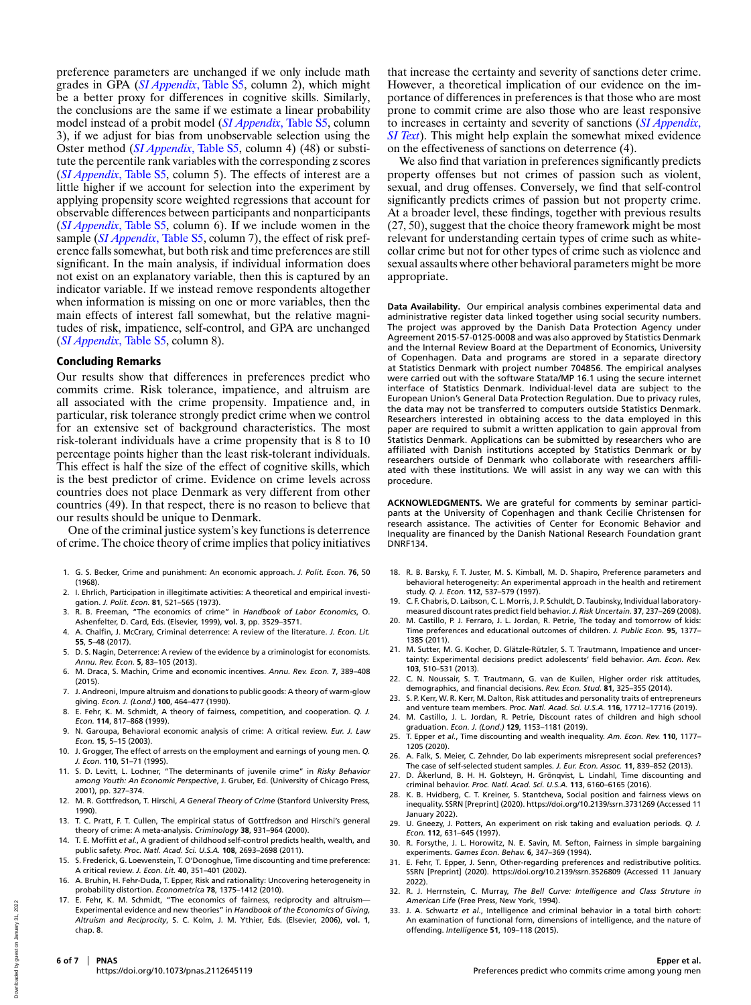preference parameters are unchanged if we only include math grades in GPA (*[SI Appendix](https://www.pnas.org/lookup/suppl/doi:10.1073/pnas.2112645119/-/DCSupplemental)*[, Table S5,](https://www.pnas.org/lookup/suppl/doi:10.1073/pnas.2112645119/-/DCSupplemental) column 2), which might be a better proxy for differences in cognitive skills. Similarly, the conclusions are the same if we estimate a linear probability model instead of a probit model (*[SI Appendix](https://www.pnas.org/lookup/suppl/doi:10.1073/pnas.2112645119/-/DCSupplemental)*[, Table S5,](https://www.pnas.org/lookup/suppl/doi:10.1073/pnas.2112645119/-/DCSupplemental) column 3), if we adjust for bias from unobservable selection using the Oster method (*[SI Appendix](https://www.pnas.org/lookup/suppl/doi:10.1073/pnas.2112645119/-/DCSupplemental)*[, Table S5,](https://www.pnas.org/lookup/suppl/doi:10.1073/pnas.2112645119/-/DCSupplemental) column 4) (48) or substitute the percentile rank variables with the corresponding z scores (*[SI Appendix](https://www.pnas.org/lookup/suppl/doi:10.1073/pnas.2112645119/-/DCSupplemental)*[, Table S5,](https://www.pnas.org/lookup/suppl/doi:10.1073/pnas.2112645119/-/DCSupplemental) column 5). The effects of interest are a little higher if we account for selection into the experiment by applying propensity score weighted regressions that account for observable differences between participants and nonparticipants (*[SI Appendix](https://www.pnas.org/lookup/suppl/doi:10.1073/pnas.2112645119/-/DCSupplemental)*[, Table S5,](https://www.pnas.org/lookup/suppl/doi:10.1073/pnas.2112645119/-/DCSupplemental) column 6). If we include women in the sample (*[SI Appendix](https://www.pnas.org/lookup/suppl/doi:10.1073/pnas.2112645119/-/DCSupplemental)*[, Table S5,](https://www.pnas.org/lookup/suppl/doi:10.1073/pnas.2112645119/-/DCSupplemental) column 7), the effect of risk preference falls somewhat, but both risk and time preferences are still significant. In the main analysis, if individual information does not exist on an explanatory variable, then this is captured by an indicator variable. If we instead remove respondents altogether when information is missing on one or more variables, then the main effects of interest fall somewhat, but the relative magnitudes of risk, impatience, self-control, and GPA are unchanged (*[SI Appendix](https://www.pnas.org/lookup/suppl/doi:10.1073/pnas.2112645119/-/DCSupplemental)*[, Table S5,](https://www.pnas.org/lookup/suppl/doi:10.1073/pnas.2112645119/-/DCSupplemental) column 8).

#### Concluding Remarks

Our results show that differences in preferences predict who commits crime. Risk tolerance, impatience, and altruism are all associated with the crime propensity. Impatience and, in particular, risk tolerance strongly predict crime when we control for an extensive set of background characteristics. The most risk-tolerant individuals have a crime propensity that is 8 to 10 percentage points higher than the least risk-tolerant individuals. This effect is half the size of the effect of cognitive skills, which is the best predictor of crime. Evidence on crime levels across countries does not place Denmark as very different from other countries (49). In that respect, there is no reason to believe that our results should be unique to Denmark.

One of the criminal justice system's key functions is deterrence of crime. The choice theory of crime implies that policy initiatives

- 1. G. S. Becker, Crime and punishment: An economic approach. *J. Polit. Econ.* **76**, 50 (1968).
- 2. I. Ehrlich, Participation in illegitimate activities: A theoretical and empirical investigation. *J. Polit. Econ.* **81**, 521–565 (1973).
- 3. R. B. Freeman, "The economics of crime" in *Handbook of Labor Economics*, O. Ashenfelter, D. Card, Eds. (Elsevier, 1999), **vol. 3**, pp. 3529–3571.
- 4. A. Chalfin, J. McCrary, Criminal deterrence: A review of the literature. *J. Econ. Lit.* **55**, 5–48 (2017).
- 5. D. S. Nagin, Deterrence: A review of the evidence by a criminologist for economists. *Annu. Rev. Econ.* **5**, 83–105 (2013).
- 6. M. Draca, S. Machin, Crime and economic incentives. *Annu. Rev. Econ.* **7**, 389–408  $(2015)$
- 7. J. Andreoni, Impure altruism and donations to public goods: A theory of warm-glow giving. *Econ. J. (Lond.)* **100**, 464–477 (1990).
- 8. E. Fehr, K. M. Schmidt, A theory of fairness, competition, and cooperation. *Q. J. Econ.* **114**, 817–868 (1999).
- 9. N. Garoupa, Behavioral economic analysis of crime: A critical review. *Eur. J. Law Econ.* **15**, 5–15 (2003).
- 10. J. Grogger, The effect of arrests on the employment and earnings of young men. *Q. J. Econ.* **110**, 51–71 (1995).
- 11. S. D. Levitt, L. Lochner, "The determinants of juvenile crime" in *Risky Behavior among Youth: An Economic Perspective*, J. Gruber, Ed. (University of Chicago Press, 2001), pp. 327–374.
- 12. M. R. Gottfredson, T. Hirschi, *A General Theory of Crime* (Stanford University Press, 1990).
- 13. T. C. Pratt, F. T. Cullen, The empirical status of Gottfredson and Hirschi's general theory of crime: A meta-analysis. *Criminology* **38**, 931–964 (2000).
- 14. T. E. Moffitt *et al.*, A gradient of childhood self-control predicts health, wealth, and public safety. *Proc. Natl. Acad. Sci. U.S.A.* **108**, 2693–2698 (2011).
- 15. S. Frederick, G. Loewenstein, T. O'Donoghue, Time discounting and time preference: A critical review. *J. Econ. Lit.* **40**, 351–401 (2002).
- 16. A. Bruhin, H. Fehr-Duda, T. Epper, Risk and rationality: Uncovering heterogeneity in probability distortion. *Econometrica* **78**, 1375–1412 (2010).
- 17. E. Fehr, K. M. Schmidt, "The economics of fairness, reciprocity and altruism— Experimental evidence and new theories" in *Handbook of the Economics of Giving, Altruism and Reciprocity*, S. C. Kolm, J. M. Ythier, Eds. (Elsevier, 2006), **vol. 1**, chap. 8.

that increase the certainty and severity of sanctions deter crime. However, a theoretical implication of our evidence on the importance of differences in preferences is that those who are most prone to commit crime are also those who are least responsive to increases in certainty and severity of sanctions (*[SI Appendix](https://www.pnas.org/lookup/suppl/doi:10.1073/pnas.2112645119/-/DCSupplemental)*[,](https://www.pnas.org/lookup/suppl/doi:10.1073/pnas.2112645119/-/DCSupplemental) *[SI Text](https://www.pnas.org/lookup/suppl/doi:10.1073/pnas.2112645119/-/DCSupplemental)*). This might help explain the somewhat mixed evidence on the effectiveness of sanctions on deterrence (4).

We also find that variation in preferences significantly predicts property offenses but not crimes of passion such as violent, sexual, and drug offenses. Conversely, we find that self-control significantly predicts crimes of passion but not property crime. At a broader level, these findings, together with previous results (27, 50), suggest that the choice theory framework might be most relevant for understanding certain types of crime such as whitecollar crime but not for other types of crime such as violence and sexual assaults where other behavioral parameters might be more appropriate.

**Data Availability.** Our empirical analysis combines experimental data and administrative register data linked together using social security numbers. The project was approved by the Danish Data Protection Agency under Agreement 2015-57-0125-0008 and was also approved by Statistics Denmark and the Internal Review Board at the Department of Economics, University of Copenhagen. Data and programs are stored in a separate directory at Statistics Denmark with project number 704856. The empirical analyses were carried out with the software Stata/MP 16.1 using the secure internet interface of Statistics Denmark. Individual-level data are subject to the European Union's General Data Protection Regulation. Due to privacy rules, the data may not be transferred to computers outside Statistics Denmark. Researchers interested in obtaining access to the data employed in this paper are required to submit a written application to gain approval from Statistics Denmark. Applications can be submitted by researchers who are affiliated with Danish institutions accepted by Statistics Denmark or by researchers outside of Denmark who collaborate with researchers affiliated with these institutions. We will assist in any way we can with this procedure.

**ACKNOWLEDGMENTS.** We are grateful for comments by seminar participants at the University of Copenhagen and thank Cecilie Christensen for research assistance. The activities of Center for Economic Behavior and Inequality are financed by the Danish National Research Foundation grant DNRF134.

- 18. R. B. Barsky, F. T. Juster, M. S. Kimball, M. D. Shapiro, Preference parameters and behavioral heterogeneity: An experimental approach in the health and retirement study. *Q. J. Econ.* **112**, 537–579 (1997).
- 19. C. F. Chabris, D. Laibson, C. L. Morris, J. P. Schuldt, D. Taubinsky, Individual laboratorymeasured discount rates predict field behavior. *J. Risk Uncertain.* **37**, 237–269 (2008).
- 20. M. Castillo, P. J. Ferraro, J. L. Jordan, R. Petrie, The today and tomorrow of kids: Time preferences and educational outcomes of children. *J. Public Econ.* **95**, 1377– 1385 (2011).
- 21. M. Sutter, M. G. Kocher, D. Glätzle-Rützler, S. T. Trautmann, Impatience and uncertainty: Experimental decisions predict adolescents' field behavior. *Am. Econ. Rev.* **103**, 510–531 (2013).
- 22. C. N. Noussair, S. T. Trautmann, G. van de Kuilen, Higher order risk attitudes, demographics, and financial decisions. *Rev. Econ. Stud.* **81**, 325–355 (2014).
- 23. S. P. Kerr, W. R. Kerr, M. Dalton, Risk attitudes and personality traits of entrepreneurs and venture team members. *Proc. Natl. Acad. Sci. U.S.A.* **116**, 17712–17716 (2019).
- 24. M. Castillo, J. L. Jordan, R. Petrie, Discount rates of children and high school graduation. *Econ. J. (Lond.)* **129**, 1153–1181 (2019).
- 25. T. Epper *et al.*, Time discounting and wealth inequality. *Am. Econ. Rev.* **110**, 1177– 1205 (2020).
- 26. A. Falk, S. Meier, C. Zehnder, Do lab experiments misrepresent social preferences? The case of self-selected student samples. *J. Eur. Econ. Assoc.* **11**, 839–852 (2013).
- 27. D. Åkerlund, B. H. H. Golsteyn, H. Grönqvist, L. Lindahl, Time discounting and criminal behavior. *Proc. Natl. Acad. Sci. U.S.A.* **113**, 6160–6165 (2016).
- 28. K. B. Hvidberg, C. T. Kreiner, S. Stantcheva, Social position and fairness views on inequality. SSRN [Preprint] (2020)[. https://doi.org/10.2139/ssrn.3731269](https://doi.org/10.2139/ssrn.3731269) (Accessed 11 January 2022).
- 29. U. Gneezy, J. Potters, An experiment on risk taking and evaluation periods. *Q. J. Econ.* **112**, 631–645 (1997).
- 30. R. Forsythe, J. L. Horowitz, N. E. Savin, M. Sefton, Fairness in simple bargaining experiments. *Games Econ. Behav.* **6**, 347–369 (1994).
- 31. E. Fehr, T. Epper, J. Senn, Other-regarding preferences and redistributive politics. SSRN [Preprint] (2020).<https://doi.org/10.2139/ssrn.3526809> (Accessed 11 January 2022).
- 32. R. J. Herrnstein, C. Murray, *The Bell Curve: Intelligence and Class Struture in American Life* (Free Press, New York, 1994).
- 33. J. A. Schwartz *et al.*, Intelligence and criminal behavior in a total birth cohort: An examination of functional form, dimensions of intelligence, and the nature of offending. *Intelligence* **51**, 109–118 (2015).

2022